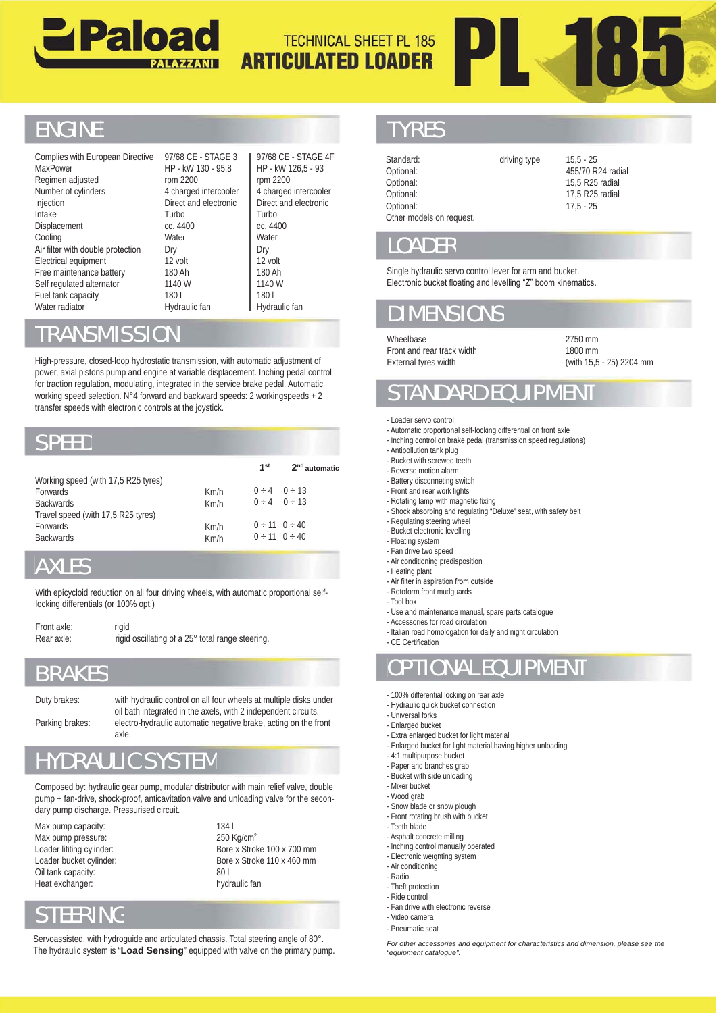



## **ENGINE**

Complies with European Directive **MaxPower** Regimen adjusted Number of cylinders Injection Intake Displacement Cooling Air filter with double protection Electrical equipment Free maintenance battery Self regulated alternator Fuel tank capacity Water radiator radiator

97/68 CE - STAGE 3 97/68 HP - kW 130 - 95,8 rpm 2200 4 charged intercooler Direct and electronic Turbo cc. 4400 **Water** Dry 12 volt 180 Ah 1140 W 180 l 180

97/68 CE - STAGE 4F HP - kW 126,5 - 93 rpm 2200 4 charged intercooler Direct and electronic Turbo cc. 4400 **Water** Dry 12 volt 180 Ah 1140 W 180 l Hydraulic fan

### RANSMISSIO

### SPEED

| Free maintenance battery<br>Self regulated alternator<br>Fuel tank capacity<br>Water radiator                                                                                                                                                                                                                                                                                                                    |                                                                         | 180 Ah<br>1140 W<br>1801<br>Hydraulic fan |                                                  | 180 Ah<br>1140 W<br>1801<br>Hydraulic fan |                                                                                                                                      |  |
|------------------------------------------------------------------------------------------------------------------------------------------------------------------------------------------------------------------------------------------------------------------------------------------------------------------------------------------------------------------------------------------------------------------|-------------------------------------------------------------------------|-------------------------------------------|--------------------------------------------------|-------------------------------------------|--------------------------------------------------------------------------------------------------------------------------------------|--|
| <b>TRANSMISSION</b>                                                                                                                                                                                                                                                                                                                                                                                              |                                                                         |                                           |                                                  |                                           |                                                                                                                                      |  |
| High-pressure, closed-loop hydrostatic transmission, with automatic adjustment of<br>power, axial pistons pump and engine at variable displacement. Inching pedal control<br>for traction regulation, modulating, integrated in the service brake pedal. Automatic<br>working speed selection. N°4 forward and backward speeds: 2 workingspeeds + 2<br>transfer speeds with electronic controls at the joystick. |                                                                         |                                           |                                                  |                                           |                                                                                                                                      |  |
| <b>SPEED</b>                                                                                                                                                                                                                                                                                                                                                                                                     |                                                                         |                                           |                                                  |                                           |                                                                                                                                      |  |
|                                                                                                                                                                                                                                                                                                                                                                                                                  |                                                                         |                                           |                                                  | 1 <sup>st</sup>                           | 2 <sup>nd</sup> automatic                                                                                                            |  |
| Working speed (with 17,5 R25 tyres)<br><b>Forwards</b><br><b>Backwards</b><br>Travel speed (with 17,5 R25 tyres)                                                                                                                                                                                                                                                                                                 |                                                                         |                                           | Km/h<br>Km/h                                     | $0 \div 4$                                | $0 \div 4$ 0 $\div 13$<br>0 ÷ 13                                                                                                     |  |
| Forwards<br><b>Backwards</b>                                                                                                                                                                                                                                                                                                                                                                                     |                                                                         |                                           | Km/h<br>Km/h                                     |                                           | $0 \div 11$ 0 $\div 40$<br>$0 \div 11$ $0 \div 40$                                                                                   |  |
| <b>AXLES</b>                                                                                                                                                                                                                                                                                                                                                                                                     |                                                                         |                                           |                                                  |                                           |                                                                                                                                      |  |
| With epicycloid reduction on all four driving wheels, with automatic proportional self-<br>locking differentials (or 100% opt.)                                                                                                                                                                                                                                                                                  |                                                                         |                                           |                                                  |                                           |                                                                                                                                      |  |
| Front axle:<br>Rear axle:                                                                                                                                                                                                                                                                                                                                                                                        | rigid                                                                   |                                           | rigid oscillating of a 25° total range steering. |                                           |                                                                                                                                      |  |
| <b>BRAKES</b>                                                                                                                                                                                                                                                                                                                                                                                                    |                                                                         |                                           |                                                  |                                           |                                                                                                                                      |  |
| Duty brakes:<br>Parking brakes:                                                                                                                                                                                                                                                                                                                                                                                  | oil bath integrated in the axels, with 2 independent circuits.<br>axle. |                                           |                                                  |                                           | with hydraulic control on all four wheels at multiple disks under<br>electro-hydraulic automatic negative brake, acting on the front |  |
| <b>HYDRAULIC SYSTEM</b>                                                                                                                                                                                                                                                                                                                                                                                          |                                                                         |                                           |                                                  |                                           |                                                                                                                                      |  |

## AXLES

| Front axle: | rigid                                            |
|-------------|--------------------------------------------------|
| Rear axle:  | rigid oscillating of a 25° total range steering. |

### BRAKES

HYDRAULIC SYSTEM

Composed by: hydraulic gear pump, modular distributor with main relief valve, double pump + fan-drive, shock-proof, anticavitation valve and unloading valve for the secondary pump discharge. Pressurised circuit. Uuty brakes: with hydraulic control on all four wheels at multiple disks under<br>
oil bath integrated in the axels, with 2 independent circuits.<br>
Parking brakes: electro-hydraulic automatic negative brake, acting on the fron

Max pump capacity: Max pump pressure: Loader lifiting cylinder: Loader bucket cylinder: Oil tank capacity: Heat exchanger:

134 l 250 Kg/cm2 Bore x Stroke 100 x 700 mm Bore x Stroke 110 x 460 mm  $80<sub>l</sub>$ hydraulic fan

# STEERING

Servoassisted, with hydroguide and articulated chassis. Total steering angle of 80°. The hydraulic system is "**Load Sensing**" equipped with valve on the primary pump.

### **TYRES**

| E - STAGE 4F<br>$126,5 - 93$<br>C<br>d intercooler<br>d electronic | Standard:<br>Optional:<br>Optional:<br>Optional:<br>Optional:<br>Other models on request.                                                                                                                                                                             | driving type | $15,5 - 25$<br>455/70 R24 radial<br>15,5 R25 radial<br>17,5 R25 radial<br>$17,5 - 25$ |  |  |  |  |
|--------------------------------------------------------------------|-----------------------------------------------------------------------------------------------------------------------------------------------------------------------------------------------------------------------------------------------------------------------|--------------|---------------------------------------------------------------------------------------|--|--|--|--|
|                                                                    | <b>LOADER</b>                                                                                                                                                                                                                                                         |              |                                                                                       |  |  |  |  |
|                                                                    | Single hydraulic servo control lever for arm and bucket.<br>Electronic bucket floating and levelling "Z" boom kinematics.                                                                                                                                             |              |                                                                                       |  |  |  |  |
| c fan                                                              | <b>DIMENSIONS</b>                                                                                                                                                                                                                                                     |              |                                                                                       |  |  |  |  |
| ıstment of<br>pedal control                                        | Wheelbase<br>Front and rear track width<br>External tyres width                                                                                                                                                                                                       |              | 2750 mm<br>1800 mm<br>(with 15,5 - 25) 22                                             |  |  |  |  |
| Automatic<br>$peeds + 2$                                           | <b>STANDARD EQUIPMENT</b>                                                                                                                                                                                                                                             |              |                                                                                       |  |  |  |  |
|                                                                    | - Loader servo control<br>- Automatic proportional self-locking differential on front axle<br>- Inching control on brake pedal (transmission speed regulations)<br>- Antipollution tank plug                                                                          |              |                                                                                       |  |  |  |  |
| 2 <sup>nd</sup> automatic                                          | - Bucket with screwed teeth<br>- Reverse motion alarm                                                                                                                                                                                                                 |              |                                                                                       |  |  |  |  |
| l ÷ 13<br>$+13$                                                    | - Battery disconneting switch<br>- Front and rear work lights<br>- Rotating lamp with magnetic fixing<br>- Shock absorbing and regulating "Deluxe" seat, with safety belt                                                                                             |              |                                                                                       |  |  |  |  |
| $\div$ 40<br>$\div$ 40                                             | - Regulating steering wheel<br>- Bucket electronic levelling<br>- Floating system<br>- Fan drive two speed<br>- Air conditioning predisposition<br>- Heating plant                                                                                                    |              |                                                                                       |  |  |  |  |
| ortional self-                                                     | - Air filter in aspiration from outside<br>- Rotoform front mudguards<br>- Tool box<br>- Use and maintenance manual, spare parts catalogue<br>- Accessories for road circulation<br>- Italian road homologation for daily and night circulation<br>- CE Certification |              |                                                                                       |  |  |  |  |
|                                                                    | <b>OPTIONAL EQUIPMENT</b>                                                                                                                                                                                                                                             |              |                                                                                       |  |  |  |  |
| e disks under<br>t circuits.<br>on the front                       | - 100% differential locking on rear axle<br>- Hydraulic quick bucket connection<br>- Universal forks<br>- Enlarged bucket<br>- Extra enlarged bucket for light material                                                                                               |              |                                                                                       |  |  |  |  |
|                                                                    | - Enlarged bucket for light material having higher unloading<br>- 4:1 multipurpose bucket<br>- Paper and branches grab                                                                                                                                                |              |                                                                                       |  |  |  |  |
| valve, double<br>for the secon-                                    | - Bucket with side unloading<br>- Mixer bucket<br>- Wood grab<br>- Snow blade or snow plough<br>- Front rotating brush with bucket<br>- Teeth blade<br>- Asphalt concrete milling                                                                                     |              |                                                                                       |  |  |  |  |
| 700 mm<br>460 mm                                                   | - Inching control manually operated<br>- Electronic weighting system                                                                                                                                                                                                  |              |                                                                                       |  |  |  |  |

### **LOADER**

# DIMENSIO

2750 mm 1800 mm (with 15,5 - 25) 2204 mm

# DARD EQUIPMEN

- Loader servo control
- Automatic proportional self-locking differential on front axle
- Inching control on brake pedal (transmission speed regulations)
- Antipollution tank plug - Bucket with screwed teeth
- Reverse motion alarm
- Battery disconneting switch
- Front and rear work lights
- Rotating lamp with magnetic fixing
- Shock absorbing and regulating "Deluxe" seat, with safety belt
- Regulating steering wheel
- Bucket electronic levelling
- Floating system
- Fan drive two speed
- Air conditioning predisposition - Heating plant
- Air filter in aspiration from outside
- Rotoform front mudguards
- Tool box
- Use and maintenance manual, spare parts catalogue
- Accessories for road circulation
- Italian road homologation for daily and night circulation

#### OPTIONAL EQUIPMENT

- 100% differential locking on rear axle
- Hydraulic quick bucket connection
- Universal forks
- Enlarged bucket
- Extra enlarged bucket for light material
- Enlarged bucket for light material having higher unloading
- 4:1 multipurpose bucket
- Paper and branches grab
- Bucket with side unloading
- Mixer bucket
- Wood grab Wood
- Snow blade or snow plough - Front rotating brush with bucket
- Teeth blade
- Asphalt concrete milling
- Inching control manually operated
- Electronic weighting system
- Air conditioning
- Radio
- Theft protection
- Ride control
- Fan drive with electronic reverse - Video camera
- Pneumatic seat

*For other accessories and equipment for characteristics and dimension, please see the the "equipment catalogue".*